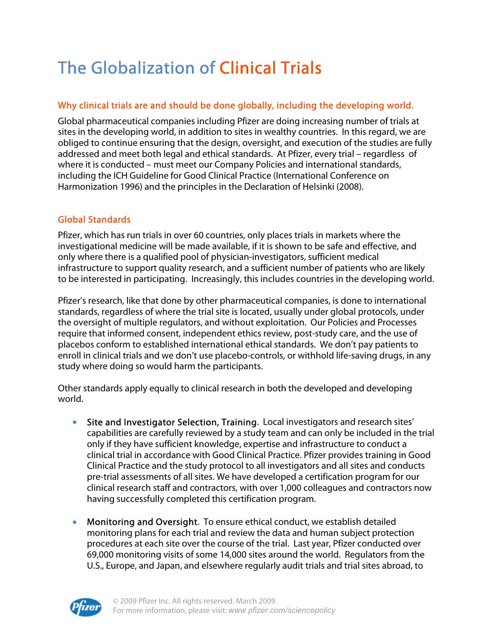# The Globalization of Clinical Trials

## Why clinical trials are and should be done globally, including the developing world.

Global pharmaceutical companies including Pfizer are doing increasing number of trials at sites in the developing world, in addition to sites in wealthy countries. In this regard, we are obliged to continue ensuring that the design, oversight, and execution of the studies are fully addressed and meet both legal and ethical standards. At Pfizer, every trial – regardless of where it is conducted – must meet our Company Policies and international standards, including the ICH Guideline for Good Clinical Practice (International Conference on Harmonization 1996) and the principles in the Declaration of Helsinki (2008).

## Global Standards

Pfizer, which has run trials in over 60 countries, only places trials in markets where the investigational medicine will be made available, if it is shown to be safe and effective, and only where there is a qualified pool of physician-investigators, sufficient medical infrastructure to support quality research, and a sufficient number of patients who are likely to be interested in participating. Increasingly, this includes countries in the developing world.

Pfizer's research, like that done by other pharmaceutical companies, is done to international standards, regardless of where the trial site is located, usually under global protocols, under the oversight of multiple regulators, and without exploitation. Our Policies and Processes require that informed consent, independent ethics review, post-study care, and the use of placebos conform to established international ethical standards. We don't pay patients to enroll in clinical trials and we don't use placebo-controls, or withhold life-saving drugs, in any study where doing so would harm the participants.

Other standards apply equally to clinical research in both the developed and developing world.

- Site and Investigator Selection, Training. Local investigators and research sites' capabilities are carefully reviewed by a study team and can only be included in the trial only if they have sufficient knowledge, expertise and infrastructure to conduct a clinical trial in accordance with Good Clinical Practice. Pfizer provides training in Good Clinical Practice and the study protocol to all investigators and all sites and conducts pre-trial assessments of all sites. We have developed a certification program for our clinical research staff and contractors, with over 1,000 colleagues and contractors now having successfully completed this certification program.
- Monitoring and Oversight. To ensure ethical conduct, we establish detailed monitoring plans for each trial and review the data and human subject protection procedures at each site over the course of the trial. Last year, Pfizer conducted over 69,000 monitoring visits of some 14,000 sites around the world. Regulators from the U.S., Europe, and Japan, and elsewhere regularly audit trials and trial sites abroad, to

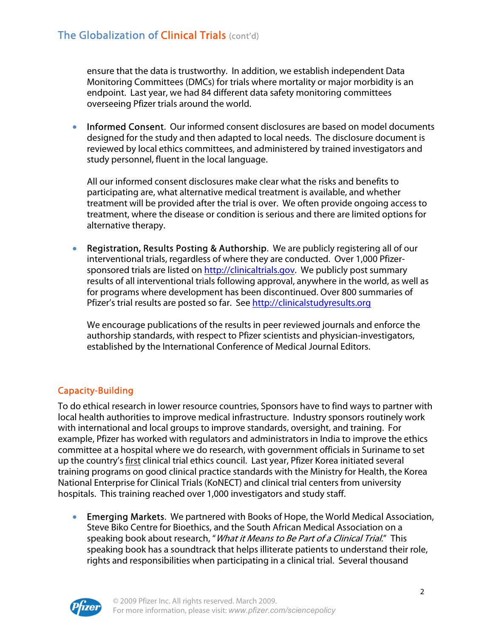ensure that the data is trustworthy. In addition, we establish independent Data Monitoring Committees (DMCs) for trials where mortality or major morbidity is an endpoint. Last year, we had 84 different data safety monitoring committees overseeing Pfizer trials around the world.

• Informed Consent. Our informed consent disclosures are based on model documents designed for the study and then adapted to local needs. The disclosure document is reviewed by local ethics committees, and administered by trained investigators and study personnel, fluent in the local language.

All our informed consent disclosures make clear what the risks and benefits to participating are, what alternative medical treatment is available, and whether treatment will be provided after the trial is over. We often provide ongoing access to treatment, where the disease or condition is serious and there are limited options for alternative therapy.

• Registration, Results Posting & Authorship. We are publicly registering all of our interventional trials, regardless of where they are conducted. Over 1,000 Pfizersponsored trials are listed on http://clinicaltrials.gov. We publicly post summary results of all interventional trials following approval, anywhere in the world, as well as for programs where development has been discontinued. Over 800 summaries of Pfizer's trial results are posted so far. See http://clinicalstudyresults.org

We encourage publications of the results in peer reviewed journals and enforce the authorship standards, with respect to Pfizer scientists and physician-investigators, established by the International Conference of Medical Journal Editors.

# Capacity-Building

To do ethical research in lower resource countries, Sponsors have to find ways to partner with local health authorities to improve medical infrastructure. Industry sponsors routinely work with international and local groups to improve standards, oversight, and training. For example, Pfizer has worked with regulators and administrators in India to improve the ethics committee at a hospital where we do research, with government officials in Suriname to set up the country's first clinical trial ethics council. Last year, Pfizer Korea initiated several training programs on good clinical practice standards with the Ministry for Health, the Korea National Enterprise for Clinical Trials (KoNECT) and clinical trial centers from university hospitals. This training reached over 1,000 investigators and study staff.

• Emerging Markets. We partnered with Books of Hope, the World Medical Association, Steve Biko Centre for Bioethics, and the South African Medical Association on a speaking book about research, "*What it Means to Be Part of a Clinical Trial*." This speaking book has a soundtrack that helps illiterate patients to understand their role, rights and responsibilities when participating in a clinical trial. Several thousand

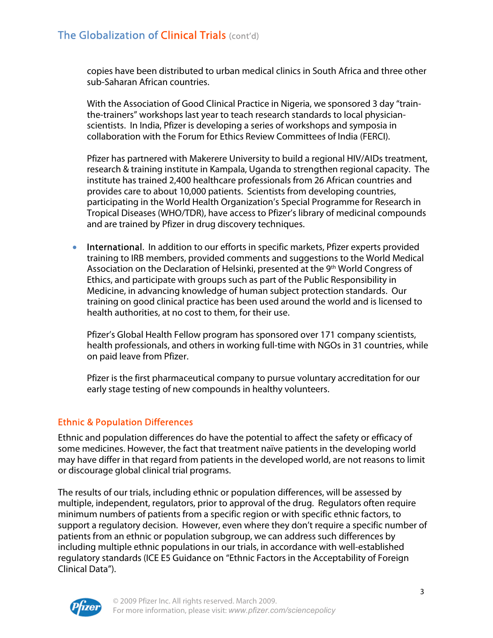copies have been distributed to urban medical clinics in South Africa and three other sub-Saharan African countries.

With the Association of Good Clinical Practice in Nigeria, we sponsored 3 day "trainthe-trainers" workshops last year to teach research standards to local physicianscientists. In India, Pfizer is developing a series of workshops and symposia in collaboration with the Forum for Ethics Review Committees of India (FERCI).

Pfizer has partnered with Makerere University to build a regional HIV/AIDs treatment, research & training institute in Kampala, Uganda to strengthen regional capacity. The institute has trained 2,400 healthcare professionals from 26 African countries and provides care to about 10,000 patients. Scientists from developing countries, participating in the World Health Organization's Special Programme for Research in Tropical Diseases (WHO/TDR), have access to Pfizer's library of medicinal compounds and are trained by Pfizer in drug discovery techniques.

• International. In addition to our efforts in specific markets, Pfizer experts provided training to IRB members, provided comments and suggestions to the World Medical Association on the Declaration of Helsinki, presented at the 9th World Congress of Ethics, and participate with groups such as part of the Public Responsibility in Medicine, in advancing knowledge of human subject protection standards. Our training on good clinical practice has been used around the world and is licensed to health authorities, at no cost to them, for their use.

Pfizer's Global Health Fellow program has sponsored over 171 company scientists, health professionals, and others in working full-time with NGOs in 31 countries, while on paid leave from Pfizer.

Pfizer is the first pharmaceutical company to pursue voluntary accreditation for our early stage testing of new compounds in healthy volunteers.

#### Ethnic & Population Differences

Ethnic and population differences do have the potential to affect the safety or efficacy of some medicines. However, the fact that treatment naïve patients in the developing world may have differ in that regard from patients in the developed world, are not reasons to limit or discourage global clinical trial programs.

The results of our trials, including ethnic or population differences, will be assessed by multiple, independent, regulators, prior to approval of the drug. Regulators often require minimum numbers of patients from a specific region or with specific ethnic factors, to support a regulatory decision. However, even where they don't require a specific number of patients from an ethnic or population subgroup, we can address such differences by including multiple ethnic populations in our trials, in accordance with well-established regulatory standards (ICE E5 Guidance on "Ethnic Factors in the Acceptability of Foreign Clinical Data").